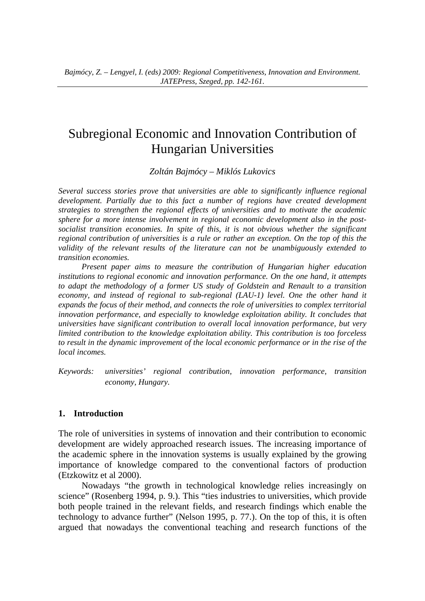# Subregional Economic and Innovation Contribution of Hungarian Universities

*Zoltán Bajmócy – Miklós Lukovics* 

*Several success stories prove that universities are able to significantly influence regional*  development. Partially due to this fact a number of regions have created development *strategies to strengthen the regional effects of universities and to motivate the academic sphere for a more intense involvement in regional economic development also in the postsocialist transition economies. In spite of this, it is not obvious whether the significant regional contribution of universities is a rule or rather an exception. On the top of this the validity of the relevant results of the literature can not be unambiguously extended to transition economies.* 

*Present paper aims to measure the contribution of Hungarian higher education institutions to regional economic and innovation performance. On the one hand, it attempts to adapt the methodology of a former US study of Goldstein and Renault to a transition economy, and instead of regional to sub-regional (LAU-1) level. One the other hand it expands the focus of their method, and connects the role of universities to complex territorial innovation performance, and especially to knowledge exploitation ability. It concludes that universities have significant contribution to overall local innovation performance, but very limited contribution to the knowledge exploitation ability. This contribution is too forceless to result in the dynamic improvement of the local economic performance or in the rise of the local incomes.* 

*Keywords: universities' regional contribution, innovation performance, transition economy, Hungary.* 

### **1. Introduction**

The role of universities in systems of innovation and their contribution to economic development are widely approached research issues. The increasing importance of the academic sphere in the innovation systems is usually explained by the growing importance of knowledge compared to the conventional factors of production (Etzkowitz et al 2000).

Nowadays "the growth in technological knowledge relies increasingly on science" (Rosenberg 1994, p. 9.). This "ties industries to universities, which provide both people trained in the relevant fields, and research findings which enable the technology to advance further" (Nelson 1995, p. 77.). On the top of this, it is often argued that nowadays the conventional teaching and research functions of the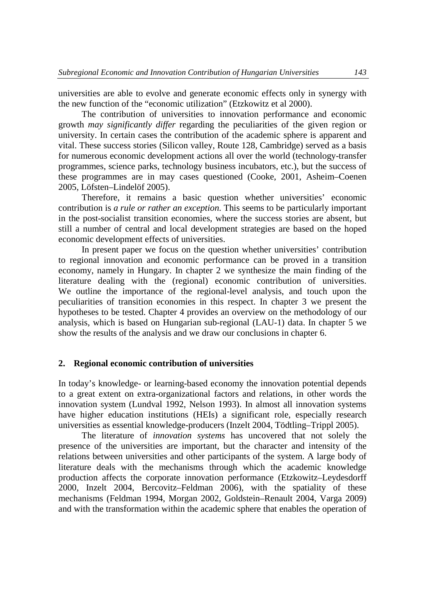universities are able to evolve and generate economic effects only in synergy with the new function of the "economic utilization" (Etzkowitz et al 2000).

The contribution of universities to innovation performance and economic growth *may significantly differ* regarding the peculiarities of the given region or university. In certain cases the contribution of the academic sphere is apparent and vital. These success stories (Silicon valley, Route 128, Cambridge) served as a basis for numerous economic development actions all over the world (technology-transfer programmes, science parks, technology business incubators, etc.), but the success of these programmes are in may cases questioned (Cooke, 2001, Asheim–Coenen 2005, Löfsten–Lindelöf 2005).

Therefore, it remains a basic question whether universities' economic contribution is *a rule or rather an exception*. This seems to be particularly important in the post-socialist transition economies, where the success stories are absent, but still a number of central and local development strategies are based on the hoped economic development effects of universities.

In present paper we focus on the question whether universities' contribution to regional innovation and economic performance can be proved in a transition economy, namely in Hungary. In chapter 2 we synthesize the main finding of the literature dealing with the (regional) economic contribution of universities. We outline the importance of the regional-level analysis, and touch upon the peculiarities of transition economies in this respect. In chapter 3 we present the hypotheses to be tested. Chapter 4 provides an overview on the methodology of our analysis, which is based on Hungarian sub-regional (LAU-1) data. In chapter 5 we show the results of the analysis and we draw our conclusions in chapter 6.

#### **2. Regional economic contribution of universities**

In today's knowledge- or learning-based economy the innovation potential depends to a great extent on extra-organizational factors and relations, in other words the innovation system (Lundval 1992, Nelson 1993). In almost all innovation systems have higher education institutions (HEIs) a significant role, especially research universities as essential knowledge-producers (Inzelt 2004, Tödtling–Trippl 2005).

The literature of *innovation systems* has uncovered that not solely the presence of the universities are important, but the character and intensity of the relations between universities and other participants of the system. A large body of literature deals with the mechanisms through which the academic knowledge production affects the corporate innovation performance (Etzkowitz–Leydesdorff 2000, Inzelt 2004, Bercovitz–Feldman 2006), with the spatiality of these mechanisms (Feldman 1994, Morgan 2002, Goldstein–Renault 2004, Varga 2009) and with the transformation within the academic sphere that enables the operation of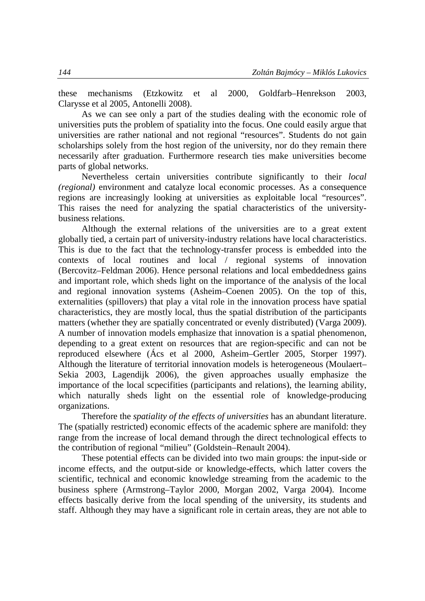these mechanisms (Etzkowitz et al 2000, Goldfarb–Henrekson 2003, Clarysse et al 2005, Antonelli 2008).

As we can see only a part of the studies dealing with the economic role of universities puts the problem of spatiality into the focus. One could easily argue that universities are rather national and not regional "resources". Students do not gain scholarships solely from the host region of the university, nor do they remain there necessarily after graduation. Furthermore research ties make universities become parts of global networks.

Nevertheless certain universities contribute significantly to their *local (regional)* environment and catalyze local economic processes. As a consequence regions are increasingly looking at universities as exploitable local "resources". This raises the need for analyzing the spatial characteristics of the universitybusiness relations.

Although the external relations of the universities are to a great extent globally tied, a certain part of university-industry relations have local characteristics. This is due to the fact that the technology-transfer process is embedded into the contexts of local routines and local / regional systems of innovation (Bercovitz–Feldman 2006). Hence personal relations and local embeddedness gains and important role, which sheds light on the importance of the analysis of the local and regional innovation systems (Asheim–Coenen 2005). On the top of this, externalities (spillovers) that play a vital role in the innovation process have spatial characteristics, they are mostly local, thus the spatial distribution of the participants matters (whether they are spatially concentrated or evenly distributed) (Varga 2009). A number of innovation models emphasize that innovation is a spatial phenomenon, depending to a great extent on resources that are region-specific and can not be reproduced elsewhere (Ács et al 2000, Asheim–Gertler 2005, Storper 1997). Although the literature of territorial innovation models is heterogeneous (Moulaert– Sekia 2003, Lagendijk 2006), the given approaches usually emphasize the importance of the local scpecifities (participants and relations), the learning ability, which naturally sheds light on the essential role of knowledge-producing organizations.

Therefore the *spatiality of the effects of universities* has an abundant literature. The (spatially restricted) economic effects of the academic sphere are manifold: they range from the increase of local demand through the direct technological effects to the contribution of regional "milieu" (Goldstein–Renault 2004).

These potential effects can be divided into two main groups: the input-side or income effects, and the output-side or knowledge-effects, which latter covers the scientific, technical and economic knowledge streaming from the academic to the business sphere (Armstrong–Taylor 2000, Morgan 2002, Varga 2004). Income effects basically derive from the local spending of the university, its students and staff. Although they may have a significant role in certain areas, they are not able to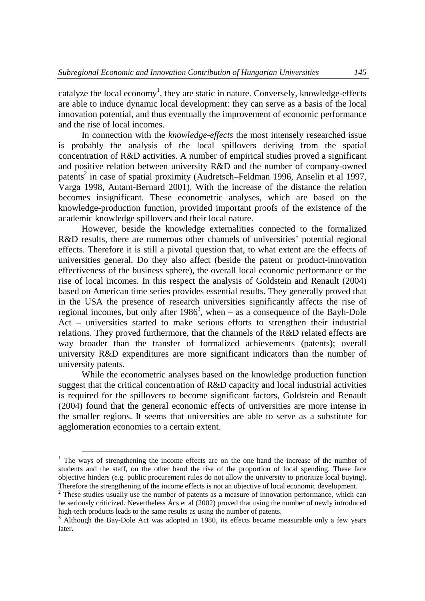catalyze the local economy<sup>1</sup>, they are static in nature. Conversely, knowledge-effects are able to induce dynamic local development: they can serve as a basis of the local innovation potential, and thus eventually the improvement of economic performance and the rise of local incomes.

In connection with the *knowledge-effects* the most intensely researched issue is probably the analysis of the local spillovers deriving from the spatial concentration of R&D activities. A number of empirical studies proved a significant and positive relation between university R&D and the number of company-owned patents<sup>2</sup> in case of spatial proximity (Audretsch–Feldman 1996, Anselin et al 1997, Varga 1998, Autant-Bernard 2001). With the increase of the distance the relation becomes insignificant. These econometric analyses, which are based on the knowledge-production function, provided important proofs of the existence of the academic knowledge spillovers and their local nature.

However, beside the knowledge externalities connected to the formalized R&D results, there are numerous other channels of universities' potential regional effects. Therefore it is still a pivotal question that, to what extent are the effects of universities general. Do they also affect (beside the patent or product-innovation effectiveness of the business sphere), the overall local economic performance or the rise of local incomes. In this respect the analysis of Goldstein and Renault (2004) based on American time series provides essential results. They generally proved that in the USA the presence of research universities significantly affects the rise of regional incomes, but only after  $1986^3$ , when – as a consequence of the Bayh-Dole Act – universities started to make serious efforts to strengthen their industrial relations. They proved furthermore, that the channels of the R&D related effects are way broader than the transfer of formalized achievements (patents); overall university R&D expenditures are more significant indicators than the number of university patents.

While the econometric analyses based on the knowledge production function suggest that the critical concentration of R&D capacity and local industrial activities is required for the spillovers to become significant factors, Goldstein and Renault (2004) found that the general economic effects of universities are more intense in the smaller regions. It seems that universities are able to serve as a substitute for agglomeration economies to a certain extent.

<sup>&</sup>lt;sup>1</sup> The ways of strengthening the income effects are on the one hand the increase of the number of students and the staff, on the other hand the rise of the proportion of local spending. These face objective hinders (e.g. public procurement rules do not allow the university to prioritize local buying). Therefore the strengthening of the income effects is not an objective of local economic development.

 $2$  These studies usually use the number of patents as a measure of innovation performance, which can be seriously criticized. Nevertheless Ács et al (2002) proved that using the number of newly introduced high-tech products leads to the same results as using the number of patents.

<sup>&</sup>lt;sup>3</sup> Although the Bay-Dole Act was adopted in 1980, its effects became measurable only a few years later.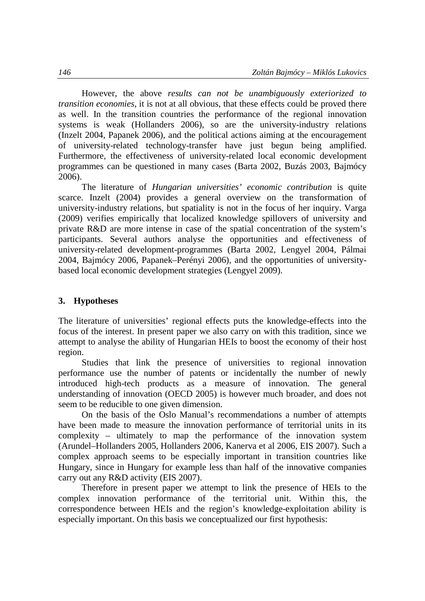However, the above *results can not be unambiguously exteriorized to transition economies*, it is not at all obvious, that these effects could be proved there as well. In the transition countries the performance of the regional innovation systems is weak (Hollanders 2006), so are the university-industry relations (Inzelt 2004, Papanek 2006), and the political actions aiming at the encouragement of university-related technology-transfer have just begun being amplified. Furthermore, the effectiveness of university-related local economic development programmes can be questioned in many cases (Barta 2002, Buzás 2003, Bajmócy 2006).

The literature of *Hungarian universities' economic contribution* is quite scarce. Inzelt (2004) provides a general overview on the transformation of university-industry relations, but spatiality is not in the focus of her inquiry. Varga (2009) verifies empirically that localized knowledge spillovers of university and private R&D are more intense in case of the spatial concentration of the system's participants. Several authors analyse the opportunities and effectiveness of university-related development-programmes (Barta 2002, Lengyel 2004, Pálmai 2004, Bajmócy 2006, Papanek–Perényi 2006), and the opportunities of universitybased local economic development strategies (Lengyel 2009).

#### **3. Hypotheses**

The literature of universities' regional effects puts the knowledge-effects into the focus of the interest. In present paper we also carry on with this tradition, since we attempt to analyse the ability of Hungarian HEIs to boost the economy of their host region.

Studies that link the presence of universities to regional innovation performance use the number of patents or incidentally the number of newly introduced high-tech products as a measure of innovation. The general understanding of innovation (OECD 2005) is however much broader, and does not seem to be reducible to one given dimension.

On the basis of the Oslo Manual's recommendations a number of attempts have been made to measure the innovation performance of territorial units in its complexity – ultimately to map the performance of the innovation system (Arundel–Hollanders 2005, Hollanders 2006, Kanerva et al 2006, EIS 2007). Such a complex approach seems to be especially important in transition countries like Hungary, since in Hungary for example less than half of the innovative companies carry out any R&D activity (EIS 2007).

Therefore in present paper we attempt to link the presence of HEIs to the complex innovation performance of the territorial unit. Within this, the correspondence between HEIs and the region's knowledge-exploitation ability is especially important. On this basis we conceptualized our first hypothesis: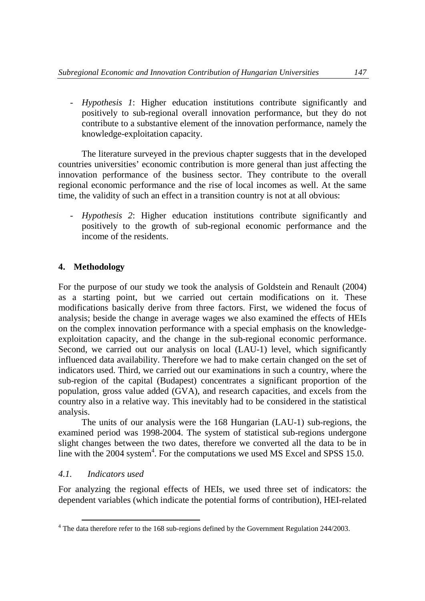- *Hypothesis 1*: Higher education institutions contribute significantly and positively to sub-regional overall innovation performance, but they do not contribute to a substantive element of the innovation performance, namely the knowledge-exploitation capacity.

The literature surveyed in the previous chapter suggests that in the developed countries universities' economic contribution is more general than just affecting the innovation performance of the business sector. They contribute to the overall regional economic performance and the rise of local incomes as well. At the same time, the validity of such an effect in a transition country is not at all obvious:

- *Hypothesis 2*: Higher education institutions contribute significantly and positively to the growth of sub-regional economic performance and the income of the residents.

## **4. Methodology**

For the purpose of our study we took the analysis of Goldstein and Renault (2004) as a starting point, but we carried out certain modifications on it. These modifications basically derive from three factors. First, we widened the focus of analysis; beside the change in average wages we also examined the effects of HEIs on the complex innovation performance with a special emphasis on the knowledgeexploitation capacity, and the change in the sub-regional economic performance. Second, we carried out our analysis on local (LAU-1) level, which significantly influenced data availability. Therefore we had to make certain changed on the set of indicators used. Third, we carried out our examinations in such a country, where the sub-region of the capital (Budapest) concentrates a significant proportion of the population, gross value added (GVA), and research capacities, and excels from the country also in a relative way. This inevitably had to be considered in the statistical analysis.

The units of our analysis were the 168 Hungarian (LAU-1) sub-regions, the examined period was 1998-2004. The system of statistical sub-regions undergone slight changes between the two dates, therefore we converted all the data to be in line with the  $2004$  system<sup>4</sup>. For the computations we used MS Excel and SPSS 15.0.

## *4.1. Indicators used*

For analyzing the regional effects of HEIs, we used three set of indicators: the dependent variables (which indicate the potential forms of contribution), HEI-related

<sup>&</sup>lt;sup>4</sup> The data therefore refer to the 168 sub-regions defined by the Government Regulation 244/2003.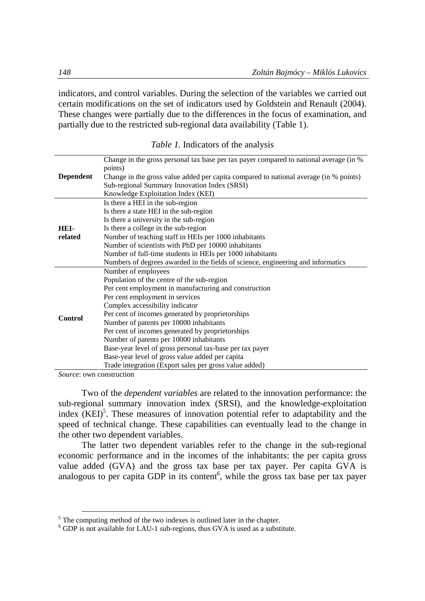indicators, and control variables. During the selection of the variables we carried out certain modifications on the set of indicators used by Goldstein and Renault (2004). These changes were partially due to the differences in the focus of examination, and partially due to the restricted sub-regional data availability (Table 1).

| <i>Table 1.</i> Indicators of the analysis                                              |
|-----------------------------------------------------------------------------------------|
| Change in the gross personal tax hase per tax payer compared to national average (in %) |

|                  | Change in the gross personal tax base per tax payer compared to hational average (in %)<br>points) |
|------------------|----------------------------------------------------------------------------------------------------|
| <b>Dependent</b> | Change in the gross value added per capita compared to national average (in % points)              |
|                  | Sub-regional Summary Innovation Index (SRSI)                                                       |
|                  | Knowledge Exploitation Index (KEI)                                                                 |
|                  | Is there a HEI in the sub-region                                                                   |
|                  | Is there a state HEI in the sub-region                                                             |
|                  | Is there a university in the sub-region                                                            |
| HEI-             | Is there a college in the sub-region                                                               |
| related          | Number of teaching staff in HEIs per 1000 inhabitants                                              |
|                  | Number of scientists with PhD per 10000 inhabitants                                                |
|                  | Number of full-time students in HEIs per 1000 inhabitants                                          |
|                  | Numbers of degrees awarded in the fields of science, engineering and informatics                   |
|                  | Number of employees                                                                                |
|                  | Population of the centre of the sub-region                                                         |
|                  | Per cent employment in manufacturing and construction                                              |
|                  | Per cent employment in services                                                                    |
|                  | Complex accessibility indicator                                                                    |
| Control          | Per cent of incomes generated by proprietorships                                                   |
|                  | Number of patents per 10000 inhabitants                                                            |
|                  | Per cent of incomes generated by proprietorships                                                   |
|                  | Number of patents per 10000 inhabitants                                                            |
|                  | Base-year level of gross personal tax-base per tax payer                                           |
|                  | Base-year level of gross value added per capita                                                    |
|                  | Trade integration (Export sales per gross value added)                                             |

*Source*: own construction

l

Two of the *dependent variables* are related to the innovation performance: the sub-regional summary innovation index (SRSI), and the knowledge-exploitation index  $(KEI)^5$ . These measures of innovation potential refer to adaptability and the speed of technical change. These capabilities can eventually lead to the change in the other two dependent variables.

The latter two dependent variables refer to the change in the sub-regional economic performance and in the incomes of the inhabitants: the per capita gross value added (GVA) and the gross tax base per tax payer. Per capita GVA is analogous to per capita GDP in its content<sup>6</sup>, while the gross tax base per tax payer

<sup>&</sup>lt;sup>5</sup> The computing method of the two indexes is outlined later in the chapter.

 $6$  GDP is not available for LAU-1 sub-regions, thus GVA is used as a substitute.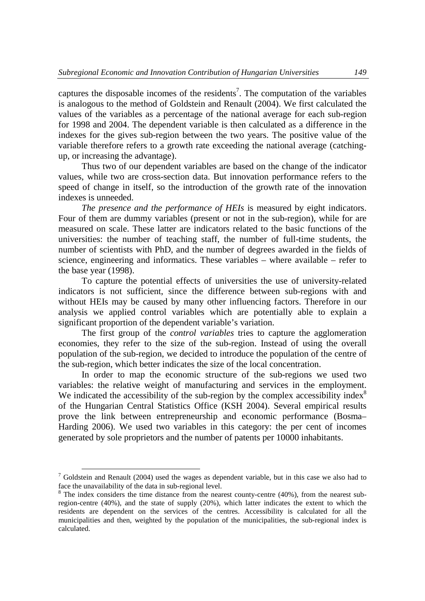captures the disposable incomes of the residents<sup>7</sup>. The computation of the variables is analogous to the method of Goldstein and Renault (2004). We first calculated the values of the variables as a percentage of the national average for each sub-region for 1998 and 2004. The dependent variable is then calculated as a difference in the indexes for the gives sub-region between the two years. The positive value of the variable therefore refers to a growth rate exceeding the national average (catchingup, or increasing the advantage).

Thus two of our dependent variables are based on the change of the indicator values, while two are cross-section data. But innovation performance refers to the speed of change in itself, so the introduction of the growth rate of the innovation indexes is unneeded.

*The presence and the performance of HEIs* is measured by eight indicators. Four of them are dummy variables (present or not in the sub-region), while for are measured on scale. These latter are indicators related to the basic functions of the universities: the number of teaching staff, the number of full-time students, the number of scientists with PhD, and the number of degrees awarded in the fields of science, engineering and informatics. These variables – where available – refer to the base year (1998).

To capture the potential effects of universities the use of university-related indicators is not sufficient, since the difference between sub-regions with and without HEIs may be caused by many other influencing factors. Therefore in our analysis we applied control variables which are potentially able to explain a significant proportion of the dependent variable's variation.

The first group of the *control variables* tries to capture the agglomeration economies, they refer to the size of the sub-region. Instead of using the overall population of the sub-region, we decided to introduce the population of the centre of the sub-region, which better indicates the size of the local concentration.

In order to map the economic structure of the sub-regions we used two variables: the relative weight of manufacturing and services in the employment. We indicated the accessibility of the sub-region by the complex accessibility index $8$ of the Hungarian Central Statistics Office (KSH 2004). Several empirical results prove the link between entrepreneurship and economic performance (Bosma– Harding 2006). We used two variables in this category: the per cent of incomes generated by sole proprietors and the number of patents per 10000 inhabitants.

 $7$  Goldstein and Renault (2004) used the wages as dependent variable, but in this case we also had to face the unavailability of the data in sub-regional level.

 $8$  The index considers the time distance from the nearest county-centre (40%), from the nearest subregion-centre (40%), and the state of supply (20%), which latter indicates the extent to which the residents are dependent on the services of the centres. Accessibility is calculated for all the municipalities and then, weighted by the population of the municipalities, the sub-regional index is calculated.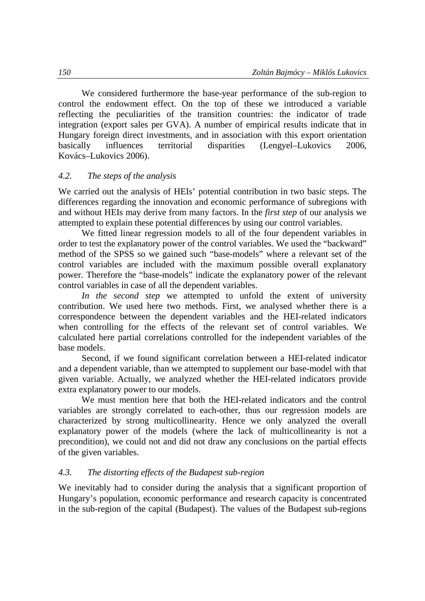We considered furthermore the base-year performance of the sub-region to control the endowment effect. On the top of these we introduced a variable reflecting the peculiarities of the transition countries: the indicator of trade integration (export sales per GVA). A number of empirical results indicate that in Hungary foreign direct investments, and in association with this export orientation basically influences territorial disparities (Lengyel–Lukovics 2006, Kovács–Lukovics 2006).

## *4.2. The steps of the analysis*

We carried out the analysis of HEIs' potential contribution in two basic steps. The differences regarding the innovation and economic performance of subregions with and without HEIs may derive from many factors. In the *first step* of our analysis we attempted to explain these potential differences by using our control variables.

We fitted linear regression models to all of the four dependent variables in order to test the explanatory power of the control variables. We used the "backward" method of the SPSS so we gained such "base-models" where a relevant set of the control variables are included with the maximum possible overall explanatory power. Therefore the "base-models" indicate the explanatory power of the relevant control variables in case of all the dependent variables.

*In the second step* we attempted to unfold the extent of university contribution. We used here two methods. First, we analysed whether there is a correspondence between the dependent variables and the HEI-related indicators when controlling for the effects of the relevant set of control variables. We calculated here partial correlations controlled for the independent variables of the base models.

Second, if we found significant correlation between a HEI-related indicator and a dependent variable, than we attempted to supplement our base-model with that given variable. Actually, we analyzed whether the HEI-related indicators provide extra explanatory power to our models.

We must mention here that both the HEI-related indicators and the control variables are strongly correlated to each-other, thus our regression models are characterized by strong multicollinearity. Hence we only analyzed the overall explanatory power of the models (where the lack of multicollinearity is not a precondition), we could not and did not draw any conclusions on the partial effects of the given variables.

## *4.3. The distorting effects of the Budapest sub-region*

We inevitably had to consider during the analysis that a significant proportion of Hungary's population, economic performance and research capacity is concentrated in the sub-region of the capital (Budapest). The values of the Budapest sub-regions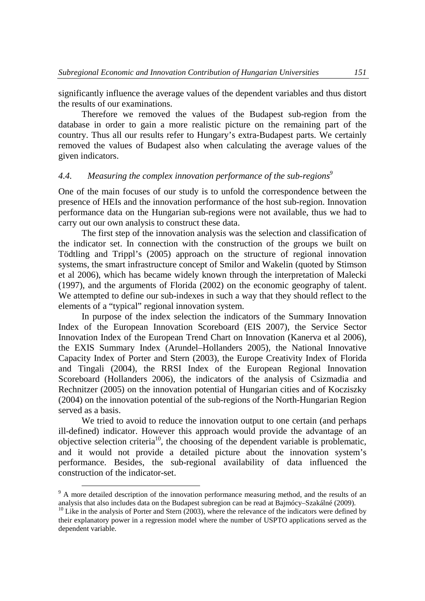significantly influence the average values of the dependent variables and thus distort the results of our examinations.

Therefore we removed the values of the Budapest sub-region from the database in order to gain a more realistic picture on the remaining part of the country. Thus all our results refer to Hungary's extra-Budapest parts. We certainly removed the values of Budapest also when calculating the average values of the given indicators.

### *4.4. Measuring the complex innovation performance of the sub-regions<sup>9</sup>*

One of the main focuses of our study is to unfold the correspondence between the presence of HEIs and the innovation performance of the host sub-region. Innovation performance data on the Hungarian sub-regions were not available, thus we had to carry out our own analysis to construct these data.

The first step of the innovation analysis was the selection and classification of the indicator set. In connection with the construction of the groups we built on Tödtling and Trippl's (2005) approach on the structure of regional innovation systems, the smart infrastructure concept of Smilor and Wakelin (quoted by Stimson et al 2006), which has became widely known through the interpretation of Malecki (1997), and the arguments of Florida (2002) on the economic geography of talent. We attempted to define our sub-indexes in such a way that they should reflect to the elements of a "typical" regional innovation system.

In purpose of the index selection the indicators of the Summary Innovation Index of the European Innovation Scoreboard (EIS 2007), the Service Sector Innovation Index of the European Trend Chart on Innovation (Kanerva et al 2006), the EXIS Summary Index (Arundel–Hollanders 2005), the National Innovative Capacity Index of Porter and Stern (2003), the Europe Creativity Index of Florida and Tingali (2004), the RRSI Index of the European Regional Innovation Scoreboard (Hollanders 2006), the indicators of the analysis of Csizmadia and Rechnitzer (2005) on the innovation potential of Hungarian cities and of Kocziszky (2004) on the innovation potential of the sub-regions of the North-Hungarian Region served as a basis.

We tried to avoid to reduce the innovation output to one certain (and perhaps ill-defined) indicator. However this approach would provide the advantage of an objective selection criteria<sup>10</sup>, the choosing of the dependent variable is problematic, and it would not provide a detailed picture about the innovation system's performance. Besides, the sub-regional availability of data influenced the construction of the indicator-set.

<sup>&</sup>lt;sup>9</sup> A more detailed description of the innovation performance measuring method, and the results of an analysis that also includes data on the Budapest subregion can be read at Bajmócy–Szakálné (2009).

 $10$  Like in the analysis of Porter and Stern (2003), where the relevance of the indicators were defined by their explanatory power in a regression model where the number of USPTO applications served as the dependent variable.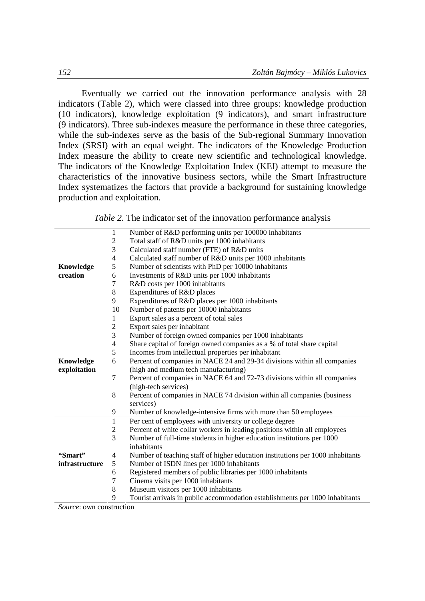Eventually we carried out the innovation performance analysis with 28 indicators (Table 2), which were classed into three groups: knowledge production (10 indicators), knowledge exploitation (9 indicators), and smart infrastructure (9 indicators). Three sub-indexes measure the performance in these three categories, while the sub-indexes serve as the basis of the Sub-regional Summary Innovation Index (SRSI) with an equal weight. The indicators of the Knowledge Production Index measure the ability to create new scientific and technological knowledge. The indicators of the Knowledge Exploitation Index (KEI) attempt to measure the characteristics of the innovative business sectors, while the Smart Infrastructure Index systematizes the factors that provide a background for sustaining knowledge production and exploitation.

*Table 2*. The indicator set of the innovation performance analysis

|                | $\mathbf{1}$   | Number of R&D performing units per 100000 inhabitants                          |  |  |  |  |  |
|----------------|----------------|--------------------------------------------------------------------------------|--|--|--|--|--|
|                | 2              | Total staff of R&D units per 1000 inhabitants                                  |  |  |  |  |  |
|                | 3              | Calculated staff number (FTE) of R&D units                                     |  |  |  |  |  |
|                | $\overline{4}$ | Calculated staff number of R&D units per 1000 inhabitants                      |  |  |  |  |  |
| Knowledge      | 5              | Number of scientists with PhD per 10000 inhabitants                            |  |  |  |  |  |
| creation       | 6              | Investments of R&D units per 1000 inhabitants                                  |  |  |  |  |  |
|                | 7              | R&D costs per 1000 inhabitants                                                 |  |  |  |  |  |
|                | 8              | Expenditures of R&D places                                                     |  |  |  |  |  |
|                | 9              | Expenditures of R&D places per 1000 inhabitants                                |  |  |  |  |  |
|                | 10             | Number of patents per 10000 inhabitants                                        |  |  |  |  |  |
|                | $\mathbf{1}$   | Export sales as a percent of total sales                                       |  |  |  |  |  |
|                | 2              | Export sales per inhabitant                                                    |  |  |  |  |  |
|                | 3              | Number of foreign owned companies per 1000 inhabitants                         |  |  |  |  |  |
|                | 4              | Share capital of foreign owned companies as a % of total share capital         |  |  |  |  |  |
|                | 5              | Incomes from intellectual properties per inhabitant                            |  |  |  |  |  |
| Knowledge      | 6              | Percent of companies in NACE 24 and 29-34 divisions within all companies       |  |  |  |  |  |
| exploitation   |                | (high and medium tech manufacturing)                                           |  |  |  |  |  |
|                | 7              | Percent of companies in NACE 64 and 72-73 divisions within all companies       |  |  |  |  |  |
|                |                | (high-tech services)                                                           |  |  |  |  |  |
|                | 8              | Percent of companies in NACE 74 division within all companies (business        |  |  |  |  |  |
|                |                | services)                                                                      |  |  |  |  |  |
|                | 9              | Number of knowledge-intensive firms with more than 50 employees                |  |  |  |  |  |
|                | $\overline{1}$ | Per cent of employees with university or college degree                        |  |  |  |  |  |
|                | 2              | Percent of white collar workers in leading positions within all employees      |  |  |  |  |  |
|                | 3              | Number of full-time students in higher education institutions per 1000         |  |  |  |  |  |
|                |                | inhabitants                                                                    |  |  |  |  |  |
| "Smart"        | 4              | Number of teaching staff of higher education institutions per 1000 inhabitants |  |  |  |  |  |
| infrastructure | 5              | Number of ISDN lines per 1000 inhabitants                                      |  |  |  |  |  |
|                | 6              | Registered members of public libraries per 1000 inhabitants                    |  |  |  |  |  |
|                | 7              | Cinema visits per 1000 inhabitants                                             |  |  |  |  |  |
|                | 8              | Museum visitors per 1000 inhabitants                                           |  |  |  |  |  |
|                | 9              | Tourist arrivals in public accommodation establishments per 1000 inhabitants   |  |  |  |  |  |
| $\mathbf{C}$   |                |                                                                                |  |  |  |  |  |

*Source*: own construction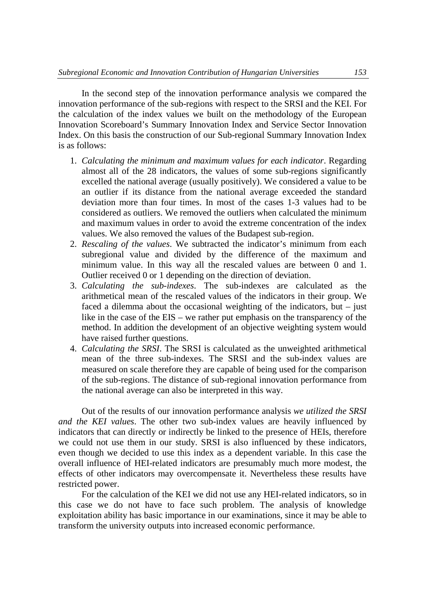In the second step of the innovation performance analysis we compared the innovation performance of the sub-regions with respect to the SRSI and the KEI. For the calculation of the index values we built on the methodology of the European Innovation Scoreboard's Summary Innovation Index and Service Sector Innovation Index. On this basis the construction of our Sub-regional Summary Innovation Index is as follows:

- 1. *Calculating the minimum and maximum values for each indicator*. Regarding almost all of the 28 indicators, the values of some sub-regions significantly excelled the national average (usually positively). We considered a value to be an outlier if its distance from the national average exceeded the standard deviation more than four times. In most of the cases 1-3 values had to be considered as outliers. We removed the outliers when calculated the minimum and maximum values in order to avoid the extreme concentration of the index values. We also removed the values of the Budapest sub-region.
- 2. *Rescaling of the values*. We subtracted the indicator's minimum from each subregional value and divided by the difference of the maximum and minimum value. In this way all the rescaled values are between 0 and 1. Outlier received 0 or 1 depending on the direction of deviation.
- 3. *Calculating the sub-indexes*. The sub-indexes are calculated as the arithmetical mean of the rescaled values of the indicators in their group. We faced a dilemma about the occasional weighting of the indicators, but – just like in the case of the EIS – we rather put emphasis on the transparency of the method. In addition the development of an objective weighting system would have raised further questions.
- 4. *Calculating the SRSI*. The SRSI is calculated as the unweighted arithmetical mean of the three sub-indexes. The SRSI and the sub-index values are measured on scale therefore they are capable of being used for the comparison of the sub-regions. The distance of sub-regional innovation performance from the national average can also be interpreted in this way.

Out of the results of our innovation performance analysis *we utilized the SRSI and the KEI values*. The other two sub-index values are heavily influenced by indicators that can directly or indirectly be linked to the presence of HEIs, therefore we could not use them in our study. SRSI is also influenced by these indicators, even though we decided to use this index as a dependent variable. In this case the overall influence of HEI-related indicators are presumably much more modest, the effects of other indicators may overcompensate it. Nevertheless these results have restricted power.

For the calculation of the KEI we did not use any HEI-related indicators, so in this case we do not have to face such problem. The analysis of knowledge exploitation ability has basic importance in our examinations, since it may be able to transform the university outputs into increased economic performance.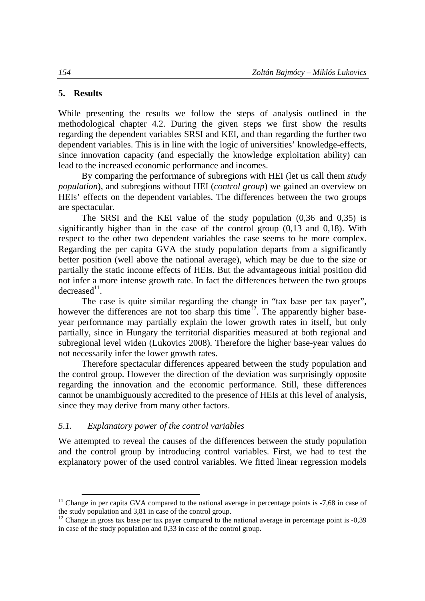### **5. Results**

 $\overline{a}$ 

While presenting the results we follow the steps of analysis outlined in the methodological chapter 4.2. During the given steps we first show the results regarding the dependent variables SRSI and KEI, and than regarding the further two dependent variables. This is in line with the logic of universities' knowledge-effects, since innovation capacity (and especially the knowledge exploitation ability) can lead to the increased economic performance and incomes.

By comparing the performance of subregions with HEI (let us call them *study population*), and subregions without HEI (*control group*) we gained an overview on HEIs' effects on the dependent variables. The differences between the two groups are spectacular.

The SRSI and the KEI value of the study population (0,36 and 0,35) is significantly higher than in the case of the control group (0,13 and 0,18). With respect to the other two dependent variables the case seems to be more complex. Regarding the per capita GVA the study population departs from a significantly better position (well above the national average), which may be due to the size or partially the static income effects of HEIs. But the advantageous initial position did not infer a more intense growth rate. In fact the differences between the two groups  $decreased<sup>11</sup>$ .

The case is quite similar regarding the change in "tax base per tax payer", however the differences are not too sharp this time<sup>12</sup>. The apparently higher baseyear performance may partially explain the lower growth rates in itself, but only partially, since in Hungary the territorial disparities measured at both regional and subregional level widen (Lukovics 2008). Therefore the higher base-year values do not necessarily infer the lower growth rates.

Therefore spectacular differences appeared between the study population and the control group. However the direction of the deviation was surprisingly opposite regarding the innovation and the economic performance. Still, these differences cannot be unambiguously accredited to the presence of HEIs at this level of analysis, since they may derive from many other factors.

### *5.1. Explanatory power of the control variables*

We attempted to reveal the causes of the differences between the study population and the control group by introducing control variables. First, we had to test the explanatory power of the used control variables. We fitted linear regression models

<sup>&</sup>lt;sup>11</sup> Change in per capita GVA compared to the national average in percentage points is  $-7,68$  in case of the study population and 3,81 in case of the control group.

 $12$  Change in gross tax base per tax payer compared to the national average in percentage point is  $-0.39$ in case of the study population and 0,33 in case of the control group.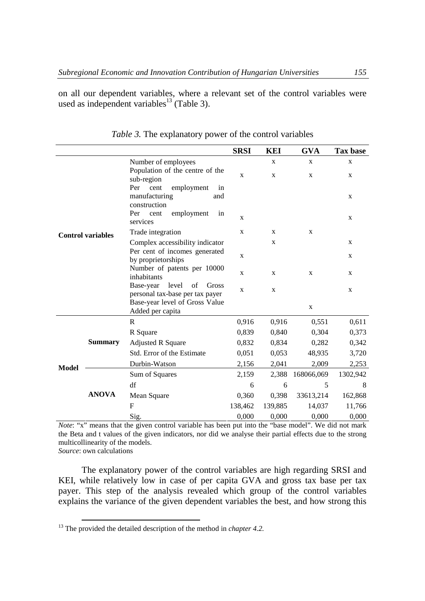on all our dependent variables, where a relevant set of the control variables were used as independent variables<sup>13</sup> (Table 3).

|                          |                |                                                                         | <b>SRSI</b> | <b>KEI</b>  | <b>GVA</b>   | Tax base    |
|--------------------------|----------------|-------------------------------------------------------------------------|-------------|-------------|--------------|-------------|
|                          |                |                                                                         |             | X           | X            | X           |
| <b>Control variables</b> |                | Number of employees<br>Population of the centre of the<br>sub-region    | X           | X           | X            | X           |
|                          |                | cent<br>Per<br>employment<br>in<br>manufacturing<br>and<br>construction |             |             |              | $\mathbf X$ |
|                          |                | employment<br>Per cent<br>in<br>services                                | $\mathbf X$ |             |              | X           |
|                          |                | Trade integration                                                       | $\mathbf x$ | $\mathbf X$ | X            |             |
|                          |                | Complex accessibility indicator                                         |             | X           |              | X           |
|                          |                | Per cent of incomes generated<br>by proprietorships                     | $\mathbf X$ |             |              | $\mathbf X$ |
|                          |                | Number of patents per 10000<br>inhabitants                              | X           | X           | $\mathbf{x}$ | X           |
|                          |                | level<br>Base-year<br>of<br>Gross<br>personal tax-base per tax payer    | $\mathbf X$ | $\mathbf X$ |              | $\mathbf X$ |
|                          |                | Base-year level of Gross Value<br>Added per capita                      |             |             | $\mathbf X$  |             |
|                          |                | R                                                                       | 0,916       | 0.916       | 0,551        | 0.611       |
|                          | <b>Summary</b> | R Square                                                                | 0,839       | 0,840       | 0,304        | 0,373       |
|                          |                | <b>Adjusted R Square</b>                                                | 0,832       | 0.834       | 0,282        | 0,342       |
| <b>Model</b>             |                | Std. Error of the Estimate                                              | 0,051       | 0,053       | 48,935       | 3,720       |
|                          |                | Durbin-Watson                                                           | 2,156       | 2,041       | 2,009        | 2,253       |
|                          |                | Sum of Squares                                                          | 2,159       | 2,388       | 168066,069   | 1302,942    |
|                          | <b>ANOVA</b>   | df                                                                      | 6           | 6           | 5            | 8           |
|                          |                | Mean Square                                                             | 0,360       | 0.398       | 33613,214    | 162,868     |
|                          |                | F                                                                       | 138,462     | 139,885     | 14,037       | 11,766      |
|                          |                | Sig.                                                                    | 0,000       | 0,000       | 0,000        | 0,000       |

*Table 3.* The explanatory power of the control variables

*Note*: "x" means that the given control variable has been put into the "base model". We did not mark the Beta and t values of the given indicators, nor did we analyse their partial effects due to the strong multicollinearity of the models.

*Source*: own calculations

 $\overline{a}$ 

The explanatory power of the control variables are high regarding SRSI and KEI, while relatively low in case of per capita GVA and gross tax base per tax payer. This step of the analysis revealed which group of the control variables explains the variance of the given dependent variables the best, and how strong this

<sup>&</sup>lt;sup>13</sup> The provided the detailed description of the method in *chapter* 4.2.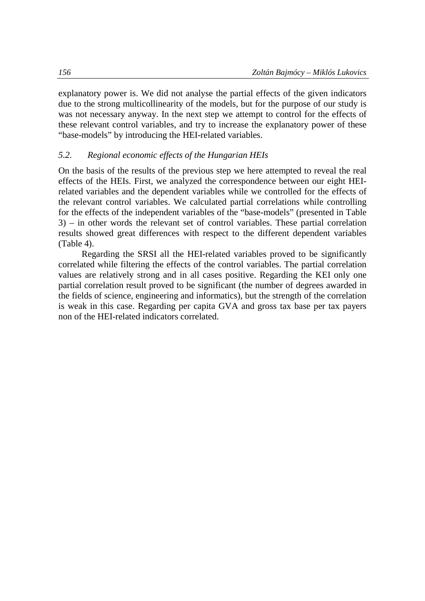explanatory power is. We did not analyse the partial effects of the given indicators due to the strong multicollinearity of the models, but for the purpose of our study is was not necessary anyway. In the next step we attempt to control for the effects of these relevant control variables, and try to increase the explanatory power of these "base-models" by introducing the HEI-related variables.

### *5.2. Regional economic effects of the Hungarian HEIs*

On the basis of the results of the previous step we here attempted to reveal the real effects of the HEIs. First, we analyzed the correspondence between our eight HEIrelated variables and the dependent variables while we controlled for the effects of the relevant control variables. We calculated partial correlations while controlling for the effects of the independent variables of the "base-models" (presented in Table 3) – in other words the relevant set of control variables. These partial correlation results showed great differences with respect to the different dependent variables (Table 4).

Regarding the SRSI all the HEI-related variables proved to be significantly correlated while filtering the effects of the control variables. The partial correlation values are relatively strong and in all cases positive. Regarding the KEI only one partial correlation result proved to be significant (the number of degrees awarded in the fields of science, engineering and informatics), but the strength of the correlation is weak in this case. Regarding per capita GVA and gross tax base per tax payers non of the HEI-related indicators correlated.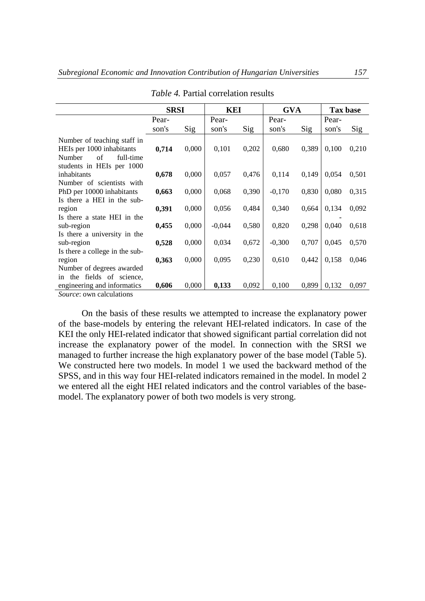|                                                                                                                    | <b>SRSI</b> |       | KEI      |       | <b>GVA</b> |       | Tax base |       |
|--------------------------------------------------------------------------------------------------------------------|-------------|-------|----------|-------|------------|-------|----------|-------|
|                                                                                                                    | Pear-       |       | Pear-    |       | Pear-      |       | Pear-    |       |
|                                                                                                                    | son's       | Sig   | son's    | Sig   | son's      | Sig   | son's    | Sig   |
| Number of teaching staff in<br>HEIs per 1000 inhabitants<br>Number<br>of<br>full-time<br>students in HEIs per 1000 | 0,714       | 0,000 | 0,101    | 0,202 | 0,680      | 0,389 | 0,100    | 0,210 |
| inhabitants                                                                                                        | 0,678       | 0,000 | 0,057    | 0,476 | 0,114      | 0,149 | 0,054    | 0,501 |
| Number of scientists with<br>PhD per 10000 inhabitants<br>Is there a HEI in the sub-                               | 0,663       | 0,000 | 0,068    | 0,390 | $-0,170$   | 0,830 | 0,080    | 0,315 |
| region                                                                                                             | 0,391       | 0,000 | 0,056    | 0,484 | 0,340      | 0,664 | 0,134    | 0,092 |
| Is there a state HEI in the<br>sub-region<br>Is there a university in the                                          | 0,455       | 0,000 | $-0,044$ | 0,580 | 0,820      | 0,298 | 0,040    | 0,618 |
| sub-region                                                                                                         | 0,528       | 0,000 | 0,034    | 0,672 | $-0.300$   | 0,707 | 0,045    | 0,570 |
| Is there a college in the sub-<br>region                                                                           | 0,363       | 0,000 | 0,095    | 0,230 | 0,610      | 0,442 | 0,158    | 0,046 |
| Number of degrees awarded<br>in the fields of science,<br>engineering and informatics                              | 0,606       | 0,000 | 0,133    | 0,092 | 0,100      | 0,899 | 0,132    | 0,097 |
| <i>Source:</i> own calculations                                                                                    |             |       |          |       |            |       |          |       |

*Table 4.* Partial correlation results

On the basis of these results we attempted to increase the explanatory power of the base-models by entering the relevant HEI-related indicators. In case of the KEI the only HEI-related indicator that showed significant partial correlation did not increase the explanatory power of the model. In connection with the SRSI we managed to further increase the high explanatory power of the base model (Table 5). We constructed here two models. In model 1 we used the backward method of the SPSS, and in this way four HEI-related indicators remained in the model. In model 2 we entered all the eight HEI related indicators and the control variables of the basemodel. The explanatory power of both two models is very strong.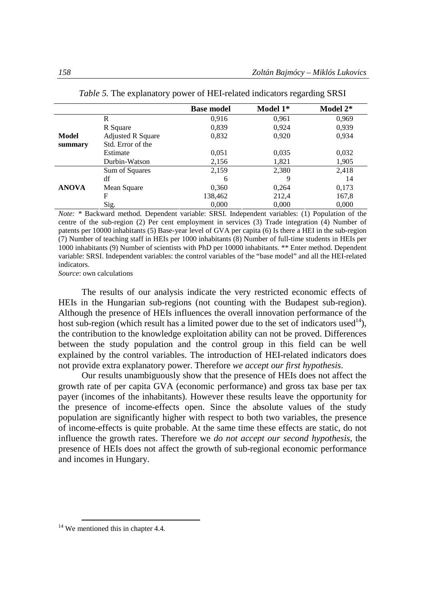|              |                          | <b>Base model</b> | Model 1* | Model 2* |
|--------------|--------------------------|-------------------|----------|----------|
|              | R                        | 0.916             | 0,961    | 0,969    |
|              | R Square                 | 0,839             | 0,924    | 0,939    |
| Model        | <b>Adjusted R Square</b> | 0,832             | 0,920    | 0,934    |
| summary      | Std. Error of the        |                   |          |          |
|              | Estimate                 | 0,051             | 0,035    | 0,032    |
|              | Durbin-Watson            | 2,156             | 1,821    | 1,905    |
|              | Sum of Squares           | 2,159             | 2,380    | 2,418    |
| <b>ANOVA</b> | df                       | 6                 | 9        | 14       |
|              | Mean Square              | 0.360             | 0,264    | 0,173    |
|              | F                        | 138,462           | 212,4    | 167,8    |
|              | Sig.                     | 0,000             | 0,000    | 0,000    |

| Table 5. The explanatory power of HEI-related indicators regarding SRSI |  |
|-------------------------------------------------------------------------|--|
|                                                                         |  |

*Note:* \* Backward method. Dependent variable: SRSI. Independent variables: (1) Population of the centre of the sub-region (2) Per cent employment in services (3) Trade integration (4) Number of patents per 10000 inhabitants (5) Base-year level of GVA per capita (6) Is there a HEI in the sub-region (7) Number of teaching staff in HEIs per 1000 inhabitants (8) Number of full-time students in HEIs per 1000 inhabitants (9) Number of scientists with PhD per 10000 inhabitants. \*\* Enter method*.* Dependent variable: SRSI. Independent variables: the control variables of the "base model" and all the HEI-related indicators.

*Source*: own calculations

The results of our analysis indicate the very restricted economic effects of HEIs in the Hungarian sub-regions (not counting with the Budapest sub-region). Although the presence of HEIs influences the overall innovation performance of the host sub-region (which result has a limited power due to the set of indicators used<sup>14</sup>), the contribution to the knowledge exploitation ability can not be proved. Differences between the study population and the control group in this field can be well explained by the control variables. The introduction of HEI-related indicators does not provide extra explanatory power. Therefore *we accept our first hypothesis*.

Our results unambiguously show that the presence of HEIs does not affect the growth rate of per capita GVA (economic performance) and gross tax base per tax payer (incomes of the inhabitants). However these results leave the opportunity for the presence of income-effects open. Since the absolute values of the study population are significantly higher with respect to both two variables, the presence of income-effects is quite probable. At the same time these effects are static, do not influence the growth rates. Therefore we *do not accept our second hypothesis*, the presence of HEIs does not affect the growth of sub-regional economic performance and incomes in Hungary.

<sup>14</sup> We mentioned this in chapter 4.4*.*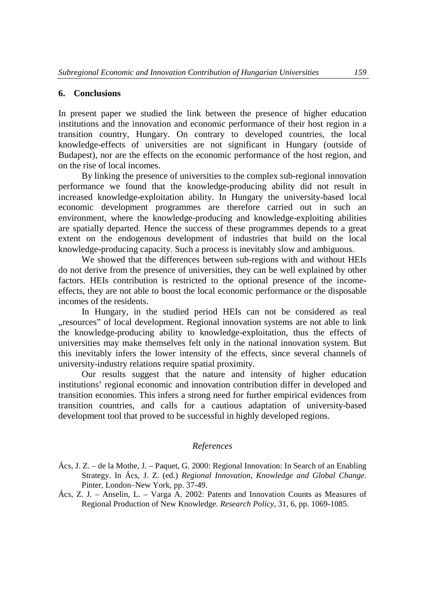### **6. Conclusions**

In present paper we studied the link between the presence of higher education institutions and the innovation and economic performance of their host region in a transition country, Hungary. On contrary to developed countries, the local knowledge-effects of universities are not significant in Hungary (outside of Budapest), nor are the effects on the economic performance of the host region, and on the rise of local incomes.

By linking the presence of universities to the complex sub-regional innovation performance we found that the knowledge-producing ability did not result in increased knowledge-exploitation ability. In Hungary the university-based local economic development programmes are therefore carried out in such an environment, where the knowledge-producing and knowledge-exploiting abilities are spatially departed. Hence the success of these programmes depends to a great extent on the endogenous development of industries that build on the local knowledge-producing capacity. Such a process is inevitably slow and ambiguous.

We showed that the differences between sub-regions with and without HEIs do not derive from the presence of universities, they can be well explained by other factors. HEIs contribution is restricted to the optional presence of the incomeeffects, they are not able to boost the local economic performance or the disposable incomes of the residents.

In Hungary, in the studied period HEIs can not be considered as real "resources" of local development. Regional innovation systems are not able to link the knowledge-producing ability to knowledge-exploitation, thus the effects of universities may make themselves felt only in the national innovation system. But this inevitably infers the lower intensity of the effects, since several channels of university-industry relations require spatial proximity.

Our results suggest that the nature and intensity of higher education institutions' regional economic and innovation contribution differ in developed and transition economies. This infers a strong need for further empirical evidences from transition countries, and calls for a cautious adaptation of university-based development tool that proved to be successful in highly developed regions.

### *References*

- Ács, J. Z. de la Mothe, J. Paquet, G. 2000: Regional Innovation: In Search of an Enabling Strategy. In Ács, J. Z. (ed.) *Regional Innovation, Knowledge and Global Change*. Pinter, London–New York, pp. 37-49.
- Ács, Z. J. Anselin, L. Varga A. 2002: Patents and Innovation Counts as Measures of Regional Production of New Knowledge. *Research Policy*, 31, 6, pp. 1069-1085.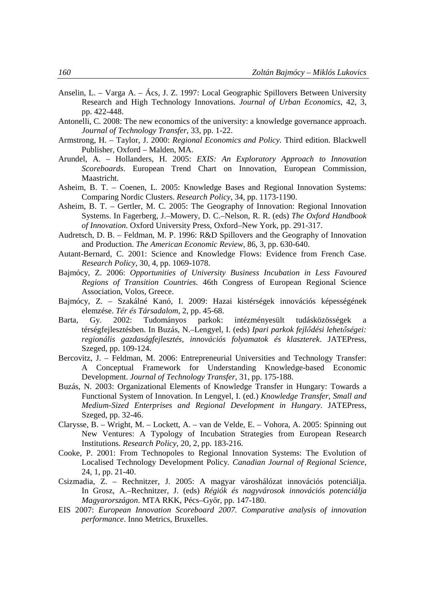- Anselin, L. Varga A. Ács, J. Z. 1997: Local Geographic Spillovers Between University Research and High Technology Innovations. *Journal of Urban Economics*, 42, 3, pp. 422-448.
- Antonelli, C. 2008: The new economics of the university: a knowledge governance approach. *Journal of Technology Transfer*, 33, pp. 1-22.
- Armstrong, H. Taylor, J. 2000: *Regional Economics and Policy.* Third edition. Blackwell Publisher, Oxford – Malden, MA.
- Arundel, A. Hollanders, H. 2005: *EXIS: An Exploratory Approach to Innovation Scoreboards*. European Trend Chart on Innovation, European Commission, Maastricht.
- Asheim, B. T. Coenen, L. 2005: Knowledge Bases and Regional Innovation Systems: Comparing Nordic Clusters. *Research Policy*, 34, pp. 1173-1190.
- Asheim, B. T. Gertler, M. C. 2005: The Geography of Innovation: Regional Innovation Systems. In Fagerberg, J.–Mowery, D. C.–Nelson, R. R. (eds) *The Oxford Handbook of Innovation.* Oxford University Press, Oxford–New York, pp. 291-317.
- Audretsch, D. B. Feldman, M. P. 1996: R&D Spillovers and the Geography of Innovation and Production. *The American Economic Review*, 86, 3, pp. 630-640.
- Autant-Bernard, C. 2001: Science and Knowledge Flows: Evidence from French Case. *Research Policy*, 30, 4, pp. 1069-1078.
- Bajmócy, Z. 2006: *Opportunities of University Business Incubation in Less Favoured Regions of Transition Countries.* 46th Congress of European Regional Science Association, Volos, Greece.
- Bajmócy, Z. Szakálné Kanó, I. 2009: Hazai kistérségek innovációs képességének elemzése. *Tér és Társadalom*, 2, pp. 45-68.
- Barta, Gy. 2002: Tudományos parkok: intézményesült tudásközösségek a térségfejlesztésben. In Buzás, N.–Lengyel, I. (eds) *Ipari parkok fejlődési lehetőségei: regionális gazdaságfejlesztés, innovációs folyamatok és klaszterek*. JATEPress, Szeged, pp. 109-124.
- Bercovitz, J. Feldman, M. 2006: Entrepreneurial Universities and Technology Transfer: A Conceptual Framework for Understanding Knowledge-based Economic Development. *Journal of Technology Transfer*, 31, pp. 175-188.
- Buzás, N. 2003: Organizational Elements of Knowledge Transfer in Hungary: Towards a Functional System of Innovation. In Lengyel, I. (ed.) *Knowledge Transfer, Small and Medium-Sized Enterprises and Regional Development in Hungary*. JATEPress, Szeged, pp. 32-46.
- Clarysse, B. Wright, M. Lockett, A. van de Velde, E. Vohora, A. 2005: Spinning out New Ventures: A Typology of Incubation Strategies from European Research Institutions. *Research Policy*, 20, 2, pp. 183-216.
- Cooke, P. 2001: From Technopoles to Regional Innovation Systems: The Evolution of Localised Technology Development Policy*. Canadian Journal of Regional Science*, 24, 1, pp. 21-40.
- Csizmadia, Z. Rechnitzer, J. 2005: A magyar városhálózat innovációs potenciálja. In Grosz, A.–Rechnitzer, J. (eds) *Régiók és nagyvárosok innovációs potenciálja Magyarországon*. MTA RKK, Pécs–Győr, pp. 147-180.
- EIS 2007: *European Innovation Scoreboard 2007. Comparative analysis of innovation performance*. Inno Metrics, Bruxelles.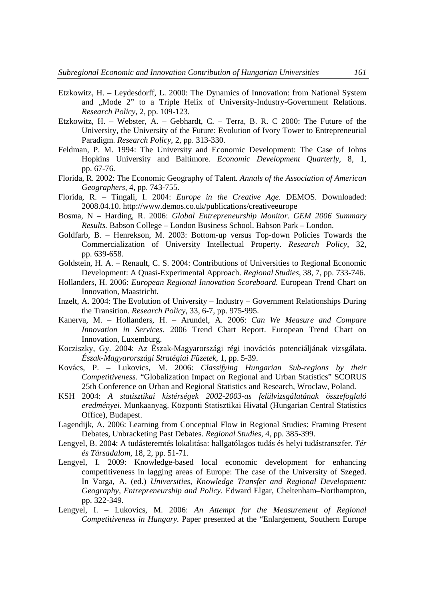- Etzkowitz, H. Leydesdorff, L. 2000: The Dynamics of Innovation: from National System and "Mode 2" to a Triple Helix of University-Industry-Government Relations. *Research Policy*, 2, pp. 109-123.
- Etzkowitz, H. Webster, A. Gebhardt, C. Terra, B. R. C 2000: The Future of the University, the University of the Future: Evolution of Ivory Tower to Entrepreneurial Paradigm. *Research Policy*, 2, pp. 313-330.
- Feldman, P. M. 1994: The University and Economic Development: The Case of Johns Hopkins University and Baltimore*. Economic Development Quarterly*, 8, 1, pp. 67-76.
- Florida, R. 2002: The Economic Geography of Talent. *Annals of the Association of American Geographers*, 4, pp. 743-755.
- Florida, R. Tingali, I. 2004: *Europe in the Creative Age.* DEMOS. Downloaded: 2008.04.10. http://www.demos.co.uk/publications/creativeeurope
- Bosma, N Harding, R. 2006: *Global Entrepreneurship Monitor. GEM 2006 Summary Results.* Babson College – London Business School. Babson Park – London.
- Goldfarb, B. Henrekson, M. 2003: Bottom-up versus Top-down Policies Towards the Commercialization of University Intellectual Property. *Research Policy*, 32, pp. 639-658.
- Goldstein, H. A. Renault, C. S. 2004: Contributions of Universities to Regional Economic Development: A Quasi-Experimental Approach. *Regional Studies*, 38, 7, pp. 733-746.
- Hollanders, H. 2006: *European Regional Innovation Scoreboard.* European Trend Chart on Innovation, Maastricht.
- Inzelt, A. 2004: The Evolution of University Industry Government Relationships During the Transition*. Research Policy*, 33, 6-7, pp. 975-995.
- Kanerva, M. Hollanders, H. Arundel, A. 2006: *Can We Measure and Compare Innovation in Services.* 2006 Trend Chart Report. European Trend Chart on Innovation, Luxemburg.
- Kocziszky, Gy. 2004: Az Észak-Magyarországi régi inovációs potenciáljának vizsgálata. *Észak-Magyarországi Stratégiai Füzetek*, 1, pp. 5-39.
- Kovács, P. Lukovics, M. 2006: *Classifying Hungarian Sub-regions by their Competitiveness*. "Globalization Impact on Regional and Urban Statistics" SCORUS 25th Conference on Urban and Regional Statistics and Research, Wroclaw, Poland.
- KSH 2004: *A statisztikai kistérségek 2002-2003-as felülvizsgálatának összefoglaló eredményei*. Munkaanyag. Központi Statisztikai Hivatal (Hungarian Central Statistics Office), Budapest.
- Lagendijk, A. 2006: Learning from Conceptual Flow in Regional Studies: Framing Present Debates, Unbracketing Past Debates. *Regional Studies*, 4, pp. 385-399.
- Lengyel, B. 2004: A tudásteremtés lokalitása: hallgatólagos tudás és helyi tudástranszfer. *Tér és Társadalom*, 18, 2, pp. 51-71.
- Lengyel, I. 2009: Knowledge-based local economic development for enhancing competitiveness in lagging areas of Europe: The case of the University of Szeged. In Varga, A. (ed.) *Universities, Knowledge Transfer and Regional Development: Geography, Entrepreneurship and Policy*. Edward Elgar, Cheltenham–Northampton, pp. 322-349.
- Lengyel, I. Lukovics, M. 2006: *An Attempt for the Measurement of Regional Competitiveness in Hungary.* Paper presented at the "Enlargement, Southern Europe